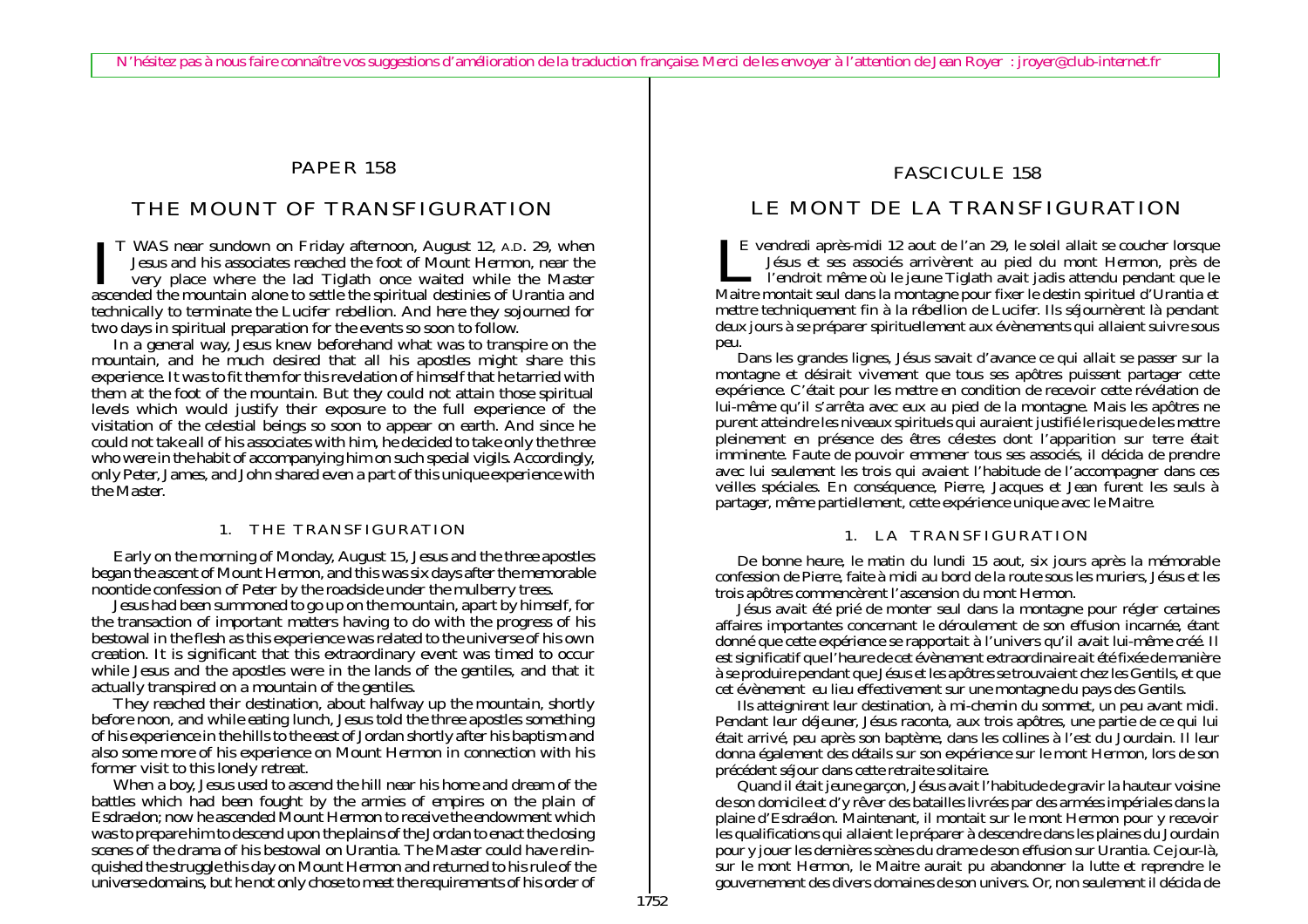## PAPER 158

# THE MOUNT OF TRANSFIGURATION

IT WAS near sundown on Friday afternoon, August 12, A.D. 29, when Jesus and his associates reached the foot of Mount Hermon, near the very place where the lad Tiglath once waited while the Master ascended the mountain alone to settle the spiritual destinies of Urantia and technically to terminate the Lucifer rebellion. And here they sojourned for two days in spiritual preparation for the events so soon to follow.

In a general way, Jesus knew beforehand what was to transpire on the mountain, and he much desired that all his apostles might share this experience. It was to fit them for this revelation of himself that he tarried with them at the foot of the mountain. But they could not attain those spiritual levels which would justify their exposure to the full experience of the visitation of the celestial beings so soon to appear on earth. And since he could not take all of his associates with him, he decided to take only the three who were in the habit of accompanying him on such special vigils. Accordingly, only Peter, James, and John shared even a part of this unique experience with the Master.

## 1. THE TRANSFIGURATION

Early on the morning of Monday, August 15, Jesus and the three apostles began the ascent of Mount Hermon, and this was six days after the memorable noontide confession of Peter by the roadside under the mulberry trees.

Jesus had been summoned to go up on the mountain, apart by himself, for the transaction of important matters having to do with the progress of his bestowal in the flesh as this experience was related to the universe of his own creation. It is significant that this extraordinary event was timed to occur while Jesus and the apostles were in the lands of the gentiles, and that it actually transpired on a mountain of the gentiles.

They reached their destination, about halfway up the mountain, shortly before noon, and while eating lunch, Jesus told the three apostles something of his experience in the hills to the east of Jordan shortly after his baptism and also some more of his experience on Mount Hermon in connection with his former visit to this lonely retreat.

When a boy, Jesus used to ascend the hill near his home and dream of the battles which had been fought by the armies of empires on the plain of Esdraelon; now he ascended Mount Hermon to receive the endowment which was to prepare him to descend upon the plains of the Jordan to enact the closing scenes of the drama of his bestowal on Urantia. The Master could have relinquished the struggle this day on Mount Hermon and returned to his rule of the universe domains, but he not only chose to meet the requirements of his order of

## FASCICULE 158

# LE MONT DE LA TRANSFIGURATION

E vendredi après-midi 12 aout de l'an 29, le soleil allait se coucher lorsque<br>Jésus et ses associés arrivèrent au pied du mont Hermon, près de<br>l'endroit même où le jeune Tiglath avait jadis attendu pendant que le Jésus et ses associés arrivèrent au pied du mont Hermon, près de l'endroit même où le jeune Tiglath avait jadis attendu pendant que le Maitre montait seul dans la montagne pour fixer le destin spirituel d'Urantia et mettre techniquement fin à la rébellion de Lucifer. Ils séjournèrent là pendant deux jours à se préparer spirituellement aux évènements qui allaient suivre sous peu.

Dans les grandes lignes, Jésus savait d'avance ce qui allait se passer sur la montagne et désirait vivement que tous ses apôtres puissent partager cette expérience. C'était pour les mettre en condition de recevoir cette révélation de lui-même qu'il s'arrêta avec eux au pied de la montagne. Mais les apôtres ne purent atteindre les niveaux spirituels qui auraient justifié le risque de les mettre pleinement en présence des êtres célestes dont l'apparition sur terre était imminente. Faute de pouvoir emmener tous ses associés, il décida de prendre avec lui seulement les trois qui avaient l'habitude de l'accompagner dans ces veilles spéciales. En conséquence, Pierre, Jacques et Jean furent les seuls à partager, même partiellement, cette expérience unique avec le Maitre.

## 1. LA TRANSFIGURATION

De bonne heure, le matin du lundi 15 aout, six jours après la mémorable confession de Pierre, faite à midi au bord de la route sous les muriers, Jésus et les trois apôtres commencèrent l'ascension du mont Hermon.

Jésus avait été prié de monter seul dans la montagne pour régler certaines affaires importantes concernant le déroulement de son effusion incarnée, étant donné que cette expérience se rapportait à l'univers qu'il avait lui-même créé. Il est significatif que l'heure de cet évènement extraordinaire ait été fixée de manière à se produire pendant que Jésus et les apôtres se trouvaient chez les Gentils, et que cet évènement eu lieu effectivement sur une montagne du pays des Gentils.

Ils atteignirent leur destination, à mi-chemin du sommet, un peu avant midi. Pendant leur déjeuner, Jésus raconta, aux trois apôtres, une partie de ce qui lui était arrivé, peu après son baptème, dans les collines à l'est du Jourdain. Il leur donna également des détails sur son expérience sur le mont Hermon, lors de son précédent séjour dans cette retraite solitaire.

Quand il était jeune garçon, Jésus avait l'habitude de gravir la hauteur voisine de son domicile et d'y rêver des batailles livrées par des armées impériales dans la plaine d'Esdraélon. Maintenant, il montait sur le mont Hermon pour y recevoir les qualifications qui allaient le préparer à descendre dans les plaines du Jourdain pour y jouer les dernières scènes du drame de son effusion sur Urantia. Ce jour-là, sur le mont Hermon, le Maitre aurait pu abandonner la lutte et reprendre le gouvernement des divers domaines de son univers. Or, non seulement il décida de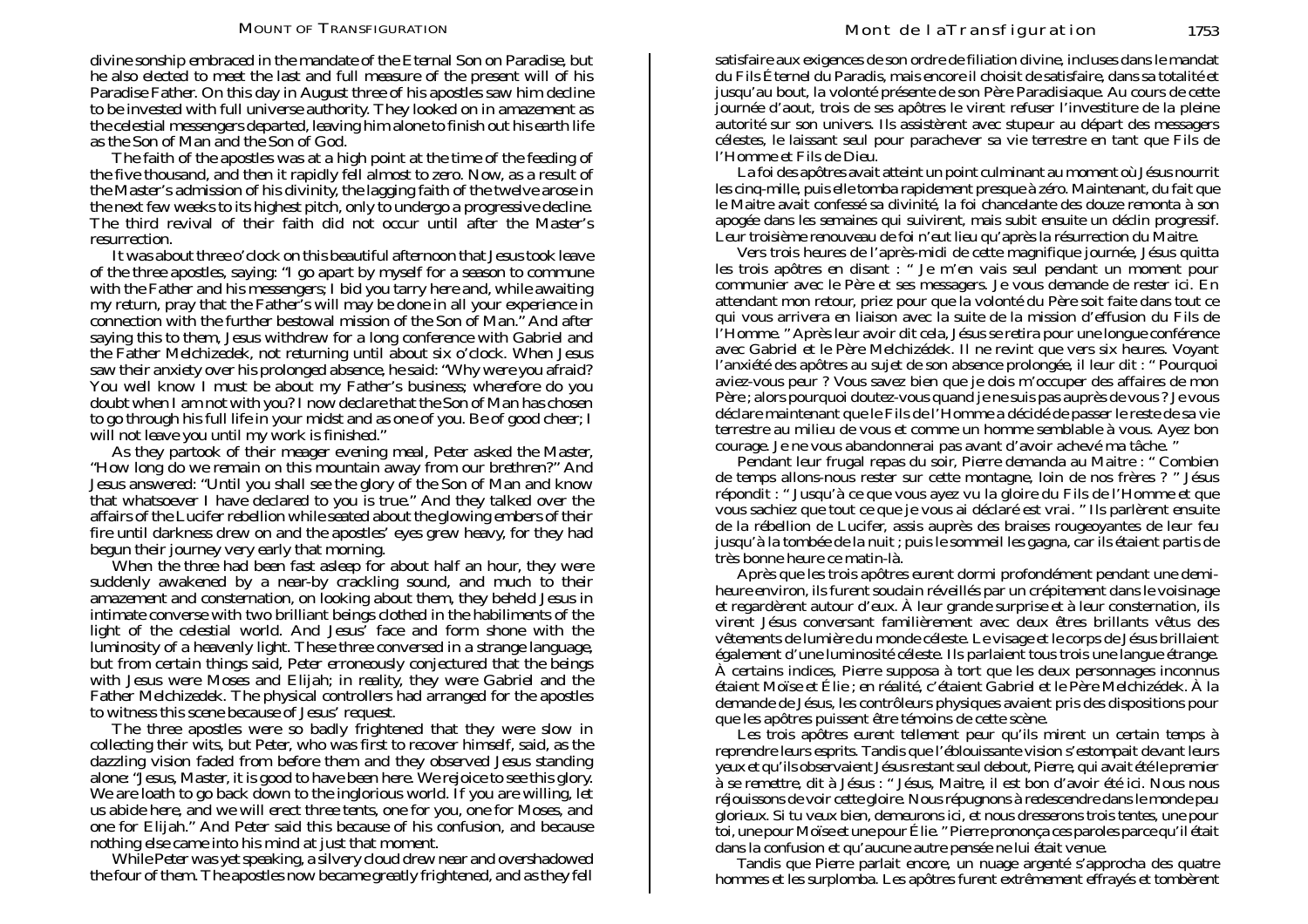## **MOUNT OF TRANSFIGURATION**

divine sonship embraced in the mandate of the Eternal Son on Paradise, but he also elected to meet the last and full measure of the present will of his Paradise Father. On this day in August three of his apostles saw him decline to be invested with full universe authority. They looked on in amazement as the celestial messengers departed, leaving him alone to finish out his earth life as the Son of Man and the Son of God.

The faith of the apostles was at a high point at the time of the feeding of the five thousand, and then it rapidly fell almost to zero. Now, as a result of the Master's admission of his divinity, the lagging faith of the twelve arose in the next few weeks to its highest pitch, only to undergo a progressive decline. The third revival of their faith did not occur until after the Master's resurrection.

It was about three o'clock on this beautiful afternoon that Jesus took leave of the three apostles, saying: "I go apart by myself for a season to commune with the Father and his messengers; I bid you tarry here and, while awaiting my return, pray that the Father's will may be done in all your experience in connection with the further bestowal mission of the Son of Man." And after saying this to them, Jesus withdrew for a long conference with Gabriel and the Father Melchizedek, not returning until about six o'clock. When Jesus saw their anxiety over his prolonged absence, he said: "Why were you afraid? You well know I must be about my Father's business; wherefore do you doubt when I am not with you? I now declare that the Son of Man has chosen to go through his full life in your midst and as one of you. Be of good cheer; I will not leave you until my work is finished."

As they partook of their meager evening meal, Peter asked the Master, "How long do we remain on this mountain away from our brethren?" And Jesus answered: "Until you shall see the glory of the Son of Man and know that whatsoever I have declared to you is true." And they talked over the affairs of the Lucifer rebellion while seated about the glowing embers of their fire until darkness drew on and the apostles' eyes grew heavy, for they had begun their journey very early that morning.

When the three had been fast asleep for about half an hour, they were suddenly awakened by a near-by crackling sound, and much to their amazement and consternation, on looking about them, they beheld Jesus in intimate converse with two brilliant beings clothed in the habiliments of the light of the celestial world. And Jesus' face and form shone with the luminosity of a heavenly light. These three conversed in a strange language, but from certain things said, Peter erroneously conjectured that the beings with Jesus were Moses and Elijah; in reality, they were Gabriel and the Father Melchizedek. The physical controllers had arranged for the apostles to witness this scene because of Jesus' request.

The three apostles were so badly frightened that they were slow in collecting their wits, but Peter, who was first to recover himself, said, as the dazzling vision faded from before them and they observed Jesus standing alone: "Jesus, Master, it is good to have been here. We rejoice to see this glory. We are loath to go back down to the inglorious world. If you are willing, let us abide here, and we will erect three tents, one for you, one for Moses, and one for Elijah." And Peter said this because of his confusion, and because nothing else came into his mind at just that moment.

While Peter was yet speaking, a silvery cloud drew near and overshadowed the four of them. The apostles now became greatly frightened, and as they fell satisfaire aux exigences de son ordre de filiation divine, incluses dans le mandat du Fils Éternel du Paradis, mais encore il choisit de satisfaire, dans sa totalité et jusqu'au bout, la volonté présente de son Père Paradisiaque. Au cours de cette journée d'aout, trois de ses apôtres le virent refuser l'investiture de la pleine autorité sur son univers. Ils assistèrent avec stupeur au départ des messagers célestes, le laissant seul pour parachever sa vie terrestre en tant que Fils de l'Homme et Fils de Dieu.

La foi des apôtres avait atteint un point culminant au moment où Jésus nourrit les cinq-mille, puis elle tomba rapidement presque à zéro. Maintenant, du fait que le Maitre avait confessé sa divinité, la foi chancelante des douze remonta à son apogée dans les semaines qui suivirent, mais subit ensuite un déclin progressif. Leur troisième renouveau de foi n'eut lieu qu'après la résurrection du Maitre.

Vers trois heures de l'après-midi de cette magnifique journée, Jésus quitta les trois apôtres en disant : " Je m'en vais seul pendant un moment pour communier avec le Père et ses messagers. Je vous demande de rester ici. En attendant mon retour, priez pour que la volonté du Père soit faite dans tout ce qui vous arrivera en liaison avec la suite de la mission d'effusion du Fils de l'Homme. " Après leur avoir dit cela, Jésus se retira pour une longue conférence avec Gabriel et le Père Melchizédek. Il ne revint que vers six heures. Voyant l'anxiété des apôtres au sujet de son absence prolongée, il leur dit : " Pourquoi aviez-vous peur ? Vous savez bien que je dois m'occuper des affaires de mon Père ; alors pourquoi doutez-vous quand je ne suis pas auprès de vous ? Je vous déclare maintenant que le Fils de l'Homme a décidé de passer le reste de sa vie terrestre au milieu de vous et comme un homme semblable à vous. Ayez bon courage. Je ne vous abandonnerai pas avant d'avoir achevé ma tâche. "

Pendant leur frugal repas du soir, Pierre demanda au Maitre : " Combien de temps allons-nous rester sur cette montagne, loin de nos frères ? " Jésus répondit : " Jusqu'à ce que vous ayez vu la gloire du Fils de l'Homme et que vous sachiez que tout ce que je vous ai déclaré est vrai. " Ils parlèrent ensuite de la rébellion de Lucifer, assis auprès des braises rougeoyantes de leur feu jusqu'à la tombée de la nuit ; puis le sommeil les gagna, car ils étaient partis de très bonne heure ce matin-là.

Après que les trois apôtres eurent dormi profondément pendant une demiheure environ, ils furent soudain réveillés par un crépitement dans le voisinage et regardèrent autour d'eux. À leur grande surprise et à leur consternation, ils virent Jésus conversant familièrement avec deux êtres brillants vêtus des vêtements de lumière du monde céleste. Le visage et le corps de Jésus brillaient également d'une luminosité céleste. Ils parlaient tous trois une langue étrange.<br>À certains indices, Pierre supposa à tort que les deux personnages inconnus<br>étaient Moïse et Élie ; en réalité, c'étaient Gabriel et le Père demande de Jésus, les contrôleurs physiques avaient pris des dispositions pour que les apôtres puissent être témoins de cette scène.

Les trois apôtres eurent tellement peur qu'ils mirent un certain temps à reprendre leurs esprits. Tandis que l'éblouissante vision s'estompait devant leurs yeux et qu'ils observaient Jésus restant seul debout, Pierre, qui avait été le premier à se remettre, dit à Jésus : " Jésus, Maitre, il est bon d'avoir été ici. Nous nous réjouissons de voir cette gloire. Nous répugnons à redescendre dans le monde peu glorieux. Si tu veux bien, demeurons ici, et nous dresserons trois tentes, une pour toi, une pour Moïse et une pour Élie. " Pierre prononça ces paroles parce qu'il était dans la confusion et qu'aucune autre pensée ne lui était venue.

Tandis que Pierre parlait encore, un nuage argenté s'approcha des quatre hommes et les surplomba. Les apôtres furent extrêmement effrayés et tombèrent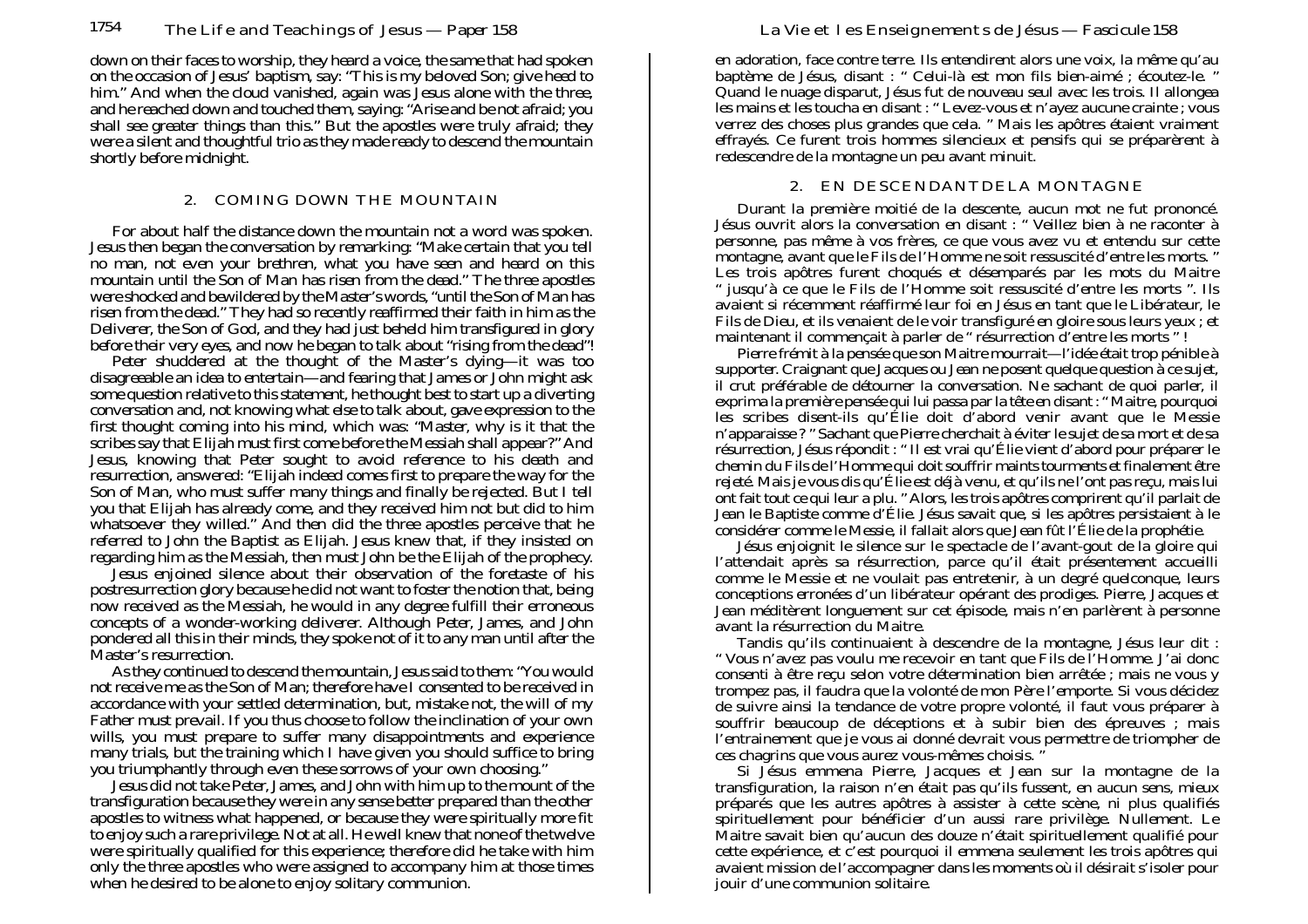down on their faces to worship, they heard a voice, the same that had spoken on the occasion of Jesus' baptism, say: "This is my beloved Son; give heed to him." And when the cloud vanished, again was Jesus alone with the three, and he reached down and touched them, saying: "Arise and be not afraid; you shall see greater things than this." But the apostles were truly afraid; they were a silent and thoughtful trio as they made ready to descend the mountain shortly before midnight.

## 2. COMING DOWN THE MOUNTAIN

For about half the distance down the mountain not a word was spoken. Jesus then began the conversation by remarking: "Make certain that you tell no man, not even your brethren, what you have seen and heard on this mountain until the Son of Man has risen from the dead." The three apostles were shocked and bewildered by the Master's words, "until the Son of Man has risen from the dead." They had so recently reaffirmed their faith in him as the Deliverer, the Son of God, and they had just beheld him transfigured in glory before their very eyes, and now he began to talk about "rising from the dead"!

Peter shuddered at the thought of the Master's dying—it was too disagreeable an idea to entertain—and fearing that James or John might ask some question relative to this statement, he thought best to start up a diverting conversation and, not knowing what else to talk about, gave expression to the first thought coming into his mind, which was: "Master, why is it that the scribes say that Elijah must first come before the Messiah shall appear?" And Jesus, knowing that Peter sought to avoid reference to his death and resurrection, answered: "Elijah indeed comes first to prepare the way for the Son of Man, who must suffer many things and finally be rejected. But I tell you that Elijah has already come, and they received him not but did to him whatsoever they willed." And then did the three apostles perceive that he referred to John the Baptist as Elijah. Jesus knew that, if they insisted on regarding him as the Messiah, then must John be the Elijah of the prophecy.

Jesus enjoined silence about their observation of the foretaste of his postresurrection glory because he did not want to foster the notion that, being now received as the Messiah, he would in any degree fulfill their erroneous concepts of a wonder-working deliverer. Although Peter, James, and John pondered all this in their minds, they spoke not of it to any man until after the Master's resurrection.

As they continued to descend the mountain, Jesus said to them: "You would not receive me as the Son of Man; therefore have I consented to be received in accordance with your settled determination, but, mistake not, the will of my Father must prevail. If you thus choose to follow the inclination of your own wills, you must prepare to suffer many disappointments and experience many trials, but the training which I have given you should suffice to bring you triumphantly through even these sorrows of your own choosing."

Jesus did not take Peter, James, and John with him up to the mount of the transfiguration because they were in any sense better prepared than the other apostles to witness what happened, or because they were spiritually more fit to enjoy such a rare privilege. Not at all. He well knew that none of the twelve were spiritually qualified for this experience; therefore did he take with him only the three apostles who were assigned to accompany him at those times when he desired to be alone to enjoy solitary communion.

en adoration, face contre terre. Ils entendirent alors une voix, la même qu'au baptème de Jésus, disant : " Celui-là est mon fils bien-aimé ; écoutez-le. " Quand le nuage disparut, Jésus fut de nouveau seul avec les trois. Il allongea les mains et les toucha en disant : " Levez-vous et n'ayez aucune crainte ; vous verrez des choses plus grandes que cela. " Mais les apôtres étaient vraiment effrayés. Ce furent trois hommes silencieux et pensifs qui se préparèrent à redescendre de la montagne un peu avant minuit.

## 2. EN DESCENDANTDELA MONTAGNE

Durant la première moitié de la descente, aucun mot ne fut prononcé. Jésus ouvrit alors la conversation en disant : " Veillez bien à ne raconter à personne, pas même à vos frères, ce que vous avez vu et entendu sur cette montagne, avant que le Fils de l'Homme ne soit ressuscité d'entre les morts. " Les trois apôtres furent choqués et désemparés par les mots du Maitre " jusqu'à ce que le Fils de l'Homme soit ressuscité d'entre les morts ". Ils avaient si récemment réaffirmé leur foi en Jésus en tant que le Libérateur, le Fils de Dieu, et ils venaient de le voir transfiguré en gloire sous leurs yeux ; et maintenant il commençait à parler de " résurrection d'entre les morts " !

Pierre frémit à la pensée que son Maitre mourrait—l'idée était trop pénible à supporter. Craignant que Jacques ou Jean ne posent quelque question à ce sujet, il crut préférable de détourner la conversation. Ne sachant de quoi parler, il exprima la première pensée qui lui passa par la tête en disant : " Maitre, pourquoi les scribes disent-ils qu'Élie doit d'abord venir avant que le Messie <sup>n</sup>'apparaisse ? " Sachant que Pierre cherchait à éviter le sujet de sa mort et de sa résurrection, Jésus répondit : " Il est vrai qu'Élie vient d'abord pour préparer le rejeté. Mais je vous dis qu'Élie est déjà venu, et qu'ils ne l'ont pas reçu, mais lui ont fait tout ce qui leur a plu. " Alors, les trois apôtres comprirent qu'il parlait de<br>Jean le Baptiste comme d'Élie. Jésus savait que, si les apôtres persistaient à le<br>considérer comme le Messie, il fallait alors que Jea

Jésus enjoignit le silence sur le spectacle de l'avant-gout de la gloire qui l'attendait après sa résurrection, parce qu'il était présentement accueilli comme le Messie et ne voulait pas entretenir, à un degré quelconque, leurs conceptions erronées d'un libérateur opérant des prodiges. Pierre, Jacques et Jean méditèrent longuement sur cet épisode, mais n'en parlèrent à personne avant la résurrection du Maitre.

Tandis qu'ils continuaient à descendre de la montagne, Jésus leur dit : " Vous n'avez pas voulu me recevoir en tant que Fils de l'Homme. J'ai donc consenti à être reçu selon votre détermination bien arrêtée ; mais ne vous y trompez pas, il faudra que la volonté de mon Père l'emporte. Si vous décidez de suivre ainsi la tendance de votre propre volonté, il faut vous préparer à souffrir beaucoup de déceptions et à subir bien des épreuves ; mais l'entrainement que je vous ai donné devrait vous permettre de triompher de ces chagrins que vous aurez vous-mêmes choisis. "

Si Jésus emmena Pierre, Jacques et Jean sur la montagne de la transfiguration, la raison n'en était pas qu'ils fussent, en aucun sens, mieux préparés que les autres apôtres à assister à cette scène, ni plus qualifiés spirituellement pour bénéficier d'un aussi rare privilège. Nullement. Le Maitre savait bien qu'aucun des douze n'était spirituellement qualifié pour cette expérience, et c'est pourquoi il emmena seulement les trois apôtres qui avaient mission de l'accompagner dans les moments où il désirait s'isoler pour jouir d'une communion solitaire.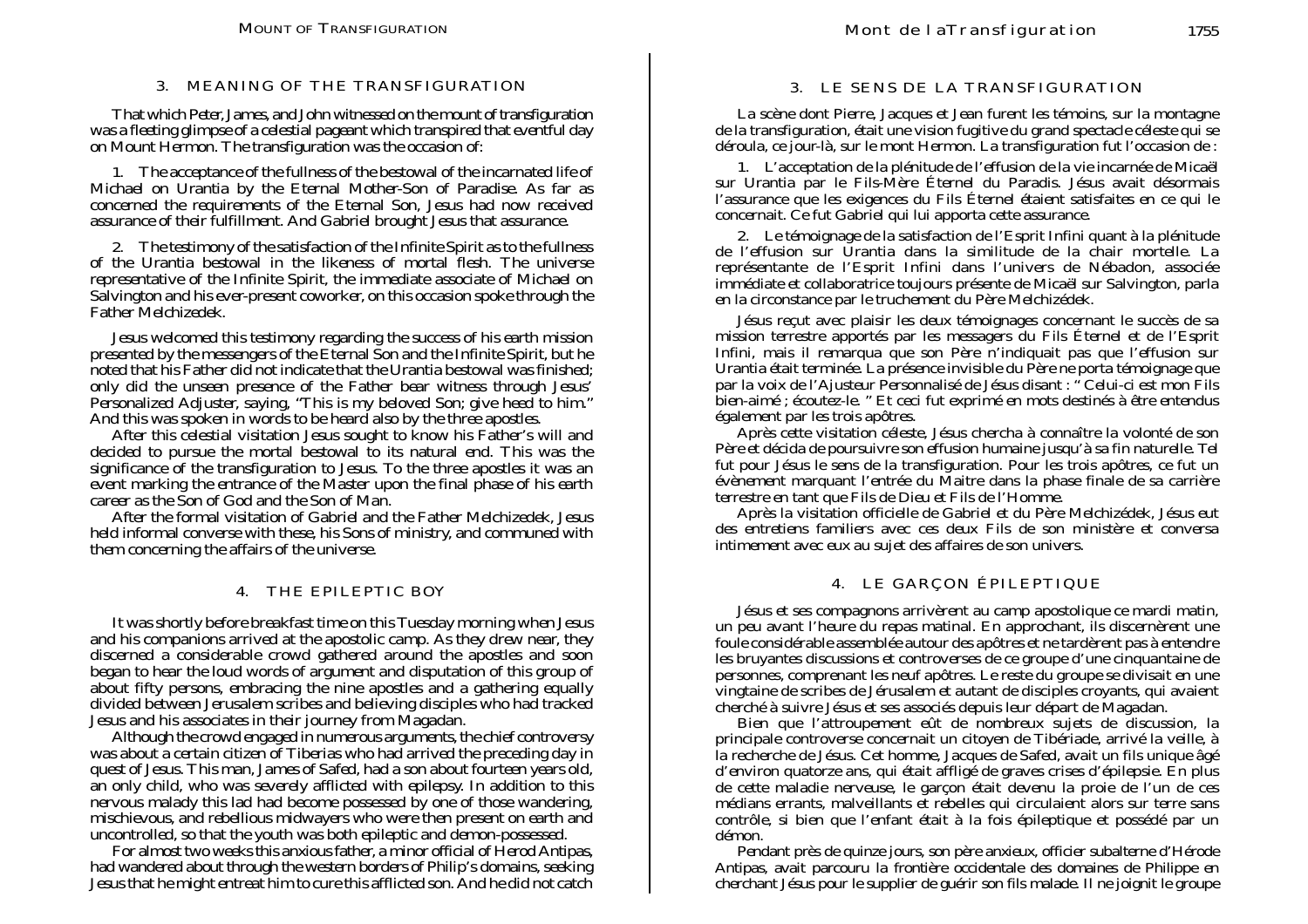## 3. MEANING OF THE TRANSFIGURATION

That which Peter, James, and John witnessed on the mount of transfiguration was a fleeting glimpse of a celestial pageant which transpired that eventful day on Mount Hermon. The transfiguration was the occasion of:

1. The acceptance of the fullness of the bestowal of the incarnated life of Michael on Urantia by the Eternal Mother-Son of Paradise. As far as concerned the requirements of the Eternal Son, Jesus had now received assurance of their fulfillment. And Gabriel brought Jesus that assurance.

2. The testimony of the satisfaction of the Infinite Spirit as to the fullness of the Urantia bestowal in the likeness of mortal flesh. The universe representative of the Infinite Spirit, the immediate associate of Michael on Salvington and his ever-present coworker, on this occasion spoke through the Father Melchizedek.

Jesus welcomed this testimony regarding the success of his earth mission presented by the messengers of the Eternal Son and the Infinite Spirit, but he noted that his Father did not indicate that the Urantia bestowal was finished; only did the unseen presence of the Father bear witness through Jesus' Personalized Adjuster, saying, "This is my beloved Son; give heed to him." And this was spoken in words to be heard also by the three apostles.

After this celestial visitation Jesus sought to know his Father's will and decided to pursue the mortal bestowal to its natural end. This was the significance of the transfiguration to Jesus. To the three apostles it was an event marking the entrance of the Master upon the final phase of his earth career as the Son of God and the Son of Man.

After the formal visitation of Gabriel and the Father Melchizedek, Jesus held informal converse with these, his Sons of ministry, and communed with them concerning the affairs of the universe.

## 4. THE EPILEPTIC BOY

It was shortly before breakfast time on this Tuesday morning when Jesus and his companions arrived at the apostolic camp. As they drew near, they discerned a considerable crowd gathered around the apostles and soon began to hear the loud words of argument and disputation of this group of about fifty persons, embracing the nine apostles and a gathering equally divided between Jerusalem scribes and believing disciples who had tracked Jesus and his associates in their journey from Magadan.

Although the crowd engaged in numerous arguments, the chief controversy was about a certain citizen of Tiberias who had arrived the preceding day in quest of Jesus. This man, James of Safed, had a son about fourteen years old, an only child, who was severely afflicted with epilepsy. In addition to this nervous malady this lad had become possessed by one of those wandering, mischievous, and rebellious midwayers who were then present on earth and uncontrolled, so that the youth was both epileptic and demon-possessed.

For almost two weeks this anxious father, a minor official of Herod Antipas, had wandered about through the western borders of Philip's domains, seeking Jesus that he might entreat him to cure this afflicted son. And he did not catch

## 3. LE SENS DE LA TRANSFIGURATION

La scène dont Pierre, Jacques et Jean furent les témoins, sur la montagne de la transfiguration, était une vision fugitive du grand spectacle céleste qui se déroula, ce jour-là, sur le mont Hermon. La transfiguration fut l'occasion de :

1. L'acceptation de la plénitude de l'effusion de la vie incarnée de Micaël<br>sur Urantia par le Fils-Mère Éternel du Paradis. Jésus avait désormais<br>l'assurance que les exigences du Fils Éternel étaient satisfaites en ce qui concernait. Ce fut Gabriel qui lui apporta cette assurance.

2. Le témoignage de la satisfaction de l'Esprit Infini quant à la plénitude de l'effusion sur Urantia dans la similitude de la chair mortelle. La représentante de l'Esprit Infini dans l'univers de Nébadon, associée immédiate et collaboratrice toujours présente de Micaël sur Salvington, parla en la circonstance par le truchement du Père Melchizédek.

Jésus reçut avec plaisir les deux témoignages concernant le succès de sa mission terrestre apportés par les messagers du Fils Éternel et de l'Esprit Infini, mais il remarqua que son Père n'indiquait pas que l'effusion sur Urantia était terminée. La présence invisible du Père ne porta témoignage que par la voix de l'Ajusteur Personnalisé de Jésus disant : " Celui-ci est mon Fils bien-aimé ; écoutez-le. " Et ceci fut exprimé en mots destinés à être entendus également par les trois apôtres.

Après cette visitation céleste, Jésus chercha à connaître la volonté de son Père et décida de poursuivre son effusion humaine jusqu'à sa fin naturelle. Tel fut pour Jésus le sens de la transfiguration. Pour les trois apôtres, ce fut un évènement marquant l'entrée du Maitre dans la phase finale de sa carrière terrestre en tant que Fils de Dieu et Fils de l'Homme.

Après la visitation officielle de Gabriel et du Père Melchizédek, Jésus eut des entretiens familiers avec ces deux Fils de son ministère et conversa intimement avec eux au sujet des affaires de son univers.

## 4. LE GARÇON ÉPILEPTIQUE

Jésus et ses compagnons arrivèrent au camp apostolique ce mardi matin, un peu avant l'heure du repas matinal. En approchant, ils discernèrent une foule considérable assemblée autour des apôtres et ne tardèrent pas à entendre les bruyantes discussions et controverses de ce groupe d'une cinquantaine de personnes, comprenant les neuf apôtres. Le reste du groupe se divisait en une vingtaine de scribes de Jérusalem et autant de disciples croyants, qui avaient cherché à suivre Jésus et ses associés depuis leur départ de Magadan.

Bien que l'attroupement eût de nombreux sujets de discussion, la principale controverse concernait un citoyen de Tibériade, arrivé la veille, à la recherche de Jésus. Cet homme, Jacques de Safed, avait un fils unique âgé d'environ quatorze ans, qui était affligé de graves crises d'épilepsie. En plus de cette maladie nerveuse, le garçon était devenu la proie de l'un de ces médians errants, malveillants et rebelles qui circulaient alors sur terre sans contrôle, si bien que l'enfant était à la fois épileptique et possédé par un démon.

Pendant près de quinze jours, son père anxieux, officier subalterne d'Hérode Antipas, avait parcouru la frontière occidentale des domaines de Philippe en cherchant Jésus pour le supplier de guérir son fils malade. Il ne joignit le groupe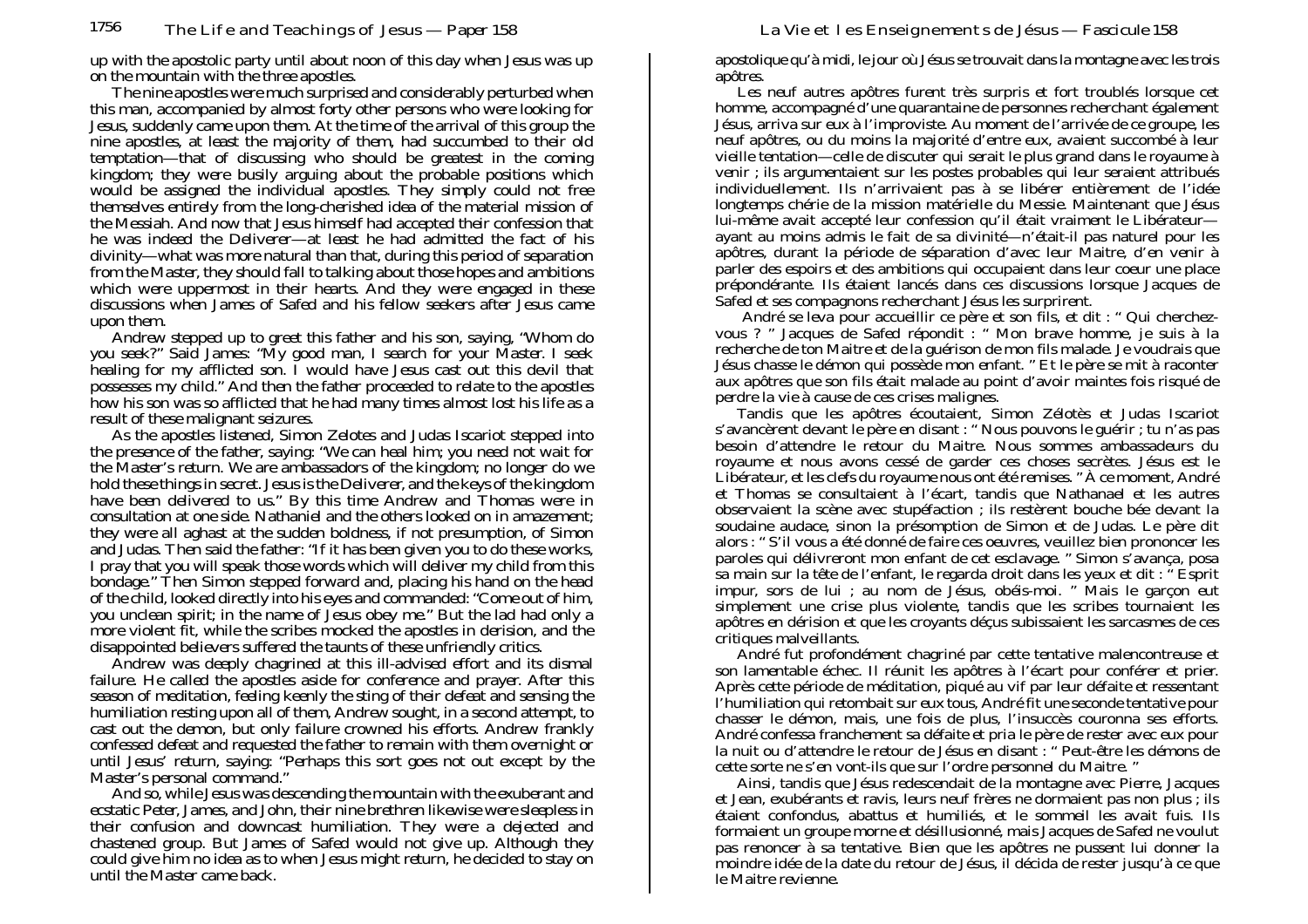up with the apostolic party until about noon of this day when Jesus was up on the mountain with the three apostles.

The nine apostles were much surprised and considerably perturbed when this man, accompanied by almost forty other persons who were looking for Jesus, suddenly came upon them. At the time of the arrival of this group the nine apostles, at least the majority of them, had succumbed to their old temptation—that of discussing who should be greatest in the coming kingdom; they were busily arguing about the probable positions which would be assigned the individual apostles. They simply could not free themselves entirely from the long-cherished idea of the material mission of the Messiah. And now that Jesus himself had accepted their confession that he was indeed the Deliverer—at least he had admitted the fact of his divinity—what was more natural than that, during this period of separation from the Master, they should fall to talking about those hopes and ambitions which were uppermost in their hearts. And they were engaged in these discussions when James of Safed and his fellow seekers after Jesus came upon them.

Andrew stepped up to greet this father and his son, saying, "Whom do you seek?" Said James: "My good man, I search for your Master. I seek healing for my afflicted son. I would have Jesus cast out this devil that possesses my child." And then the father proceeded to relate to the apostles how his son was so afflicted that he had many times almost lost his life as a result of these malignant seizures.

As the apostles listened, Simon Zelotes and Judas Iscariot stepped into the presence of the father, saying: "We can heal him; you need not wait for the Master's return. We are ambassadors of the kingdom; no longer do we hold these things in secret. Jesus is the Deliverer, and the keys of the kingdom have been delivered to us." By this time Andrew and Thomas were in consultation at one side. Nathaniel and the others looked on in amazement; they were all aghast at the sudden boldness, if not presumption, of Simon and Judas. Then said the father: "If it has been given you to do these works, I pray that you will speak those words which will deliver my child from this bondage." Then Simon stepped forward and, placing his hand on the head of the child, looked directly into his eyes and commanded: "Come out of him, you unclean spirit; in the name of Jesus obey me." But the lad had only a more violent fit, while the scribes mocked the apostles in derision, and the disappointed believers suffered the taunts of these unfriendly critics.

Andrew was deeply chagrined at this ill-advised effort and its dismal failure. He called the apostles aside for conference and prayer. After this season of meditation, feeling keenly the sting of their defeat and sensing the humiliation resting upon all of them, Andrew sought, in a second attempt, to cast out the demon, but only failure crowned his efforts. Andrew frankly confessed defeat and requested the father to remain with them overnight or until Jesus' return, saying: "Perhaps this sort goes not out except by the Master's personal command."

And so, while Jesus was descending the mountain with the exuberant and ecstatic Peter, James, and John, their nine brethren likewise were sleepless in their confusion and downcast humiliation. They were a dejected and chastened group. But James of Safed would not give up. Although they could give him no idea as to when Jesus might return, he decided to stay on until the Master came back.

apostolique qu'à midi, le jour où Jésus se trouvait dans la montagne avec les trois apôtres.

Les neuf autres apôtres furent très surpris et fort troublés lorsque cet homme, accompagné d'une quarantaine de personnes recherchant également Jésus, arriva sur eux à l'improviste. Au moment de l'arrivée de ce groupe, les neuf apôtres, ou du moins la majorité d'entre eux, avaient succombé à leur vieille tentation—celle de discuter qui serait le plus grand dans le royaume à venir ; ils argumentaient sur les postes probables qui leur seraient attribués individuellement. Ils n'arrivaient pas à se libérer entièrement de l'idée longtemps chérie de la mission matérielle du Messie. Maintenant que Jésus lui-même avait accepté leur confession qu'il était vraiment le Libérateur ayant au moins admis le fait de sa divinité—n'était-il pas naturel pour les apôtres, durant la période de séparation d'avec leur Maitre, d'en venir à parler des espoirs et des ambitions qui occupaient dans leur coeur une place prépondérante. Ils étaient lancés dans ces discussions lorsque Jacques de Safed et ses compagnons recherchant Jésus les surprirent.

André se leva pour accueillir ce père et son fils, et dit : " Qui cherchezvous ? " Jacques de Safed répondit : " Mon brave homme, je suis à la recherche de ton Maitre et de la guérison de mon fils malade. Je voudrais que Jésus chasse le démon qui possède mon enfant. " Et le père se mit à raconter aux apôtres que son fils était malade au point d'avoir maintes fois risqué de perdre la vie à cause de ces crises malignes.

Tandis que les apôtres écoutaient, Simon Zélotès et Judas Iscariot <sup>s</sup>'avancèrent devant le père en disant : " Nous pouvons le guérir ; tu n'as pas besoin d'attendre le retour du Maitre. Nous sommes ambassadeurs du royaume et nous avons cessé de garder ces choses secrètes. Jésus est le Libérateur, et les clefs du royaume nous ont été remises. " À ce moment, André et Thomas se consultaient à l'écart, tandis que Nathanael et les autres observaient la scène avec stupéfaction ; ils restèrent bouche bée devant la soudaine audace, sinon la présomption de Simon et de Judas. Le père dit alors : " S'il vous a été donné de faire ces oeuvres, veuillez bien prononcer les paroles qui délivreront mon enfant de cet esclavage. " Simon s'avança, posa sa main sur la tête de l'enfant, le regarda droit dans les yeux et dit : " Esprit impur, sors de lui ; au nom de Jésus, obéis-moi. " Mais le garçon eut simplement une crise plus violente, tandis que les scribes tournaient les apôtres en dérision et que les croyants déçus subissaient les sarcasmes de ces critiques malveillants.

André fut profondément chagriné par cette tentative malencontreuse et son lamentable échec. Il réunit les apôtres à l'écart pour conférer et prier. Après cette période de méditation, piqué au vif par leur défaite et ressentant l'humiliation qui retombait sur eux tous, André fit une seconde tentative pour chasser le démon, mais, une fois de plus, l'insuccès couronna ses efforts. André confessa franchement sa défaite et pria le père de rester avec eux pour la nuit ou d'attendre le retour de Jésus en disant : " Peut-être les démons de cette sorte ne s'en vont-ils que sur l'ordre personnel du Maitre. "

Ainsi, tandis que Jésus redescendait de la montagne avec Pierre, Jacques et Jean, exubérants et ravis, leurs neuf frères ne dormaient pas non plus ; ils étaient confondus, abattus et humiliés, et le sommeil les avait fuis. Ils formaient un groupe morne et désillusionné, mais Jacques de Safed ne voulut pas renoncer à sa tentative. Bien que les apôtres ne pussent lui donner la moindre idée de la date du retour de Jésus, il décida de rester jusqu'à ce que le Maitre revienne.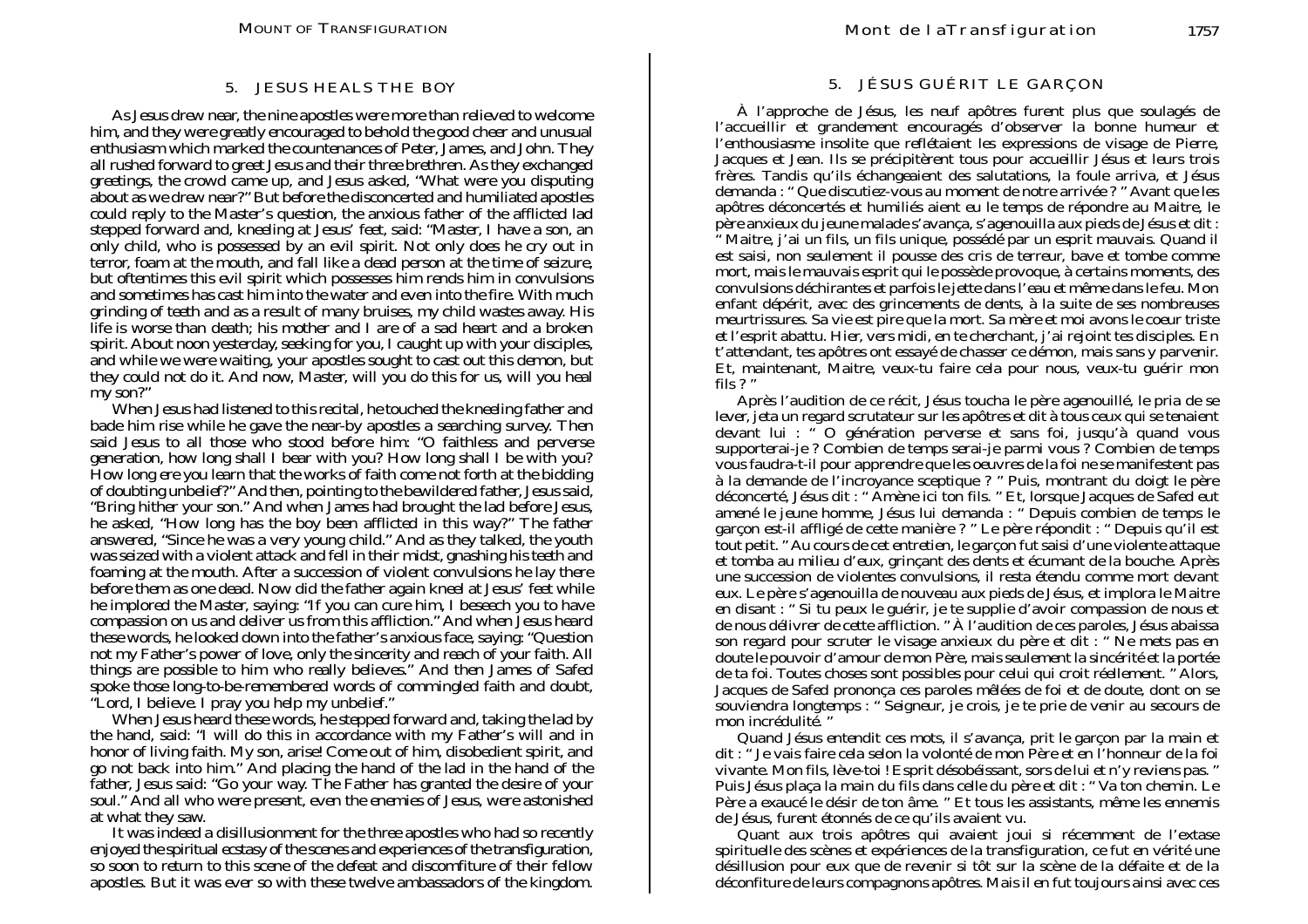## 5. JESUS HEALS THE BOY

As Jesus drew near, the nine apostles were more than relieved to welcome him, and they were greatly encouraged to behold the good cheer and unusual enthusiasm which marked the countenances of Peter, James, and John. They all rushed forward to greet Jesus and their three brethren. As they exchanged greetings, the crowd came up, and Jesus asked, "What were you disputing about as we drew near?" But before the disconcerted and humiliated apostles could reply to the Master's question, the anxious father of the afflicted lad stepped forward and, kneeling at Jesus' feet, said: "Master, I have a son, an only child, who is possessed by an evil spirit. Not only does he cry out in terror, foam at the mouth, and fall like a dead person at the time of seizure, but oftentimes this evil spirit which possesses him rends him in convulsions and sometimes has cast him into the water and even into the fire. With much grinding of teeth and as a result of many bruises, my child wastes away. His life is worse than death; his mother and I are of a sad heart and a broken spirit. About noon yesterday, seeking for you, I caught up with your disciples, and while we were waiting, your apostles sought to cast out this demon, but they could not do it. And now, Master, will you do this for us, will you heal my son?"

When Jesus had listened to this recital, he touched the kneeling father and bade him rise while he gave the near-by apostles a searching survey. Then said Jesus to all those who stood before him: "O faithless and perverse generation, how long shall I bear with you? How long shall I be with you? How long ere you learn that the works of faith come not forth at the bidding of doubting unbelief?" And then, pointing to the bewildered father, Jesus said, "Bring hither your son." And when James had brought the lad before Jesus, he asked, "How long has the boy been afflicted in this way?" The father answered, "Since he was a very young child." And as they talked, the youth was seized with a violent attack and fell in their midst, gnashing his teeth and foaming at the mouth. After a succession of violent convulsions he lay there before them as one dead. Now did the father again kneel at Jesus' feet while he implored the Master, saying: "If you can cure him, I beseech you to have compassion on us and deliver us from this affliction." And when Jesus heard these words, he looked down into the father's anxious face, saying: "Question not my Father's power of love, only the sincerity and reach of your faith. All things are possible to him who really believes." And then James of Safed spoke those long-to-be-remembered words of commingled faith and doubt, "Lord, I believe. I pray you help my unbelief."

When Jesus heard these words, he stepped forward and, taking the lad by the hand, said: "I will do this in accordance with my Father's will and in honor of living faith. My son, arise! Come out of him, disobedient spirit, and go not back into him." And placing the hand of the lad in the hand of the father, Jesus said: "Go your way. The Father has granted the desire of your soul." And all who were present, even the enemies of Jesus, were astonished at what they saw.

It was indeed a disillusionment for the three apostles who had so recently enjoyed the spiritual ecstasy of the scenes and experiences of the transfiguration, so soon to return to this scene of the defeat and discomfiture of their fellow apostles. But it was ever so with these twelve ambassadors of the kingdom.

## 5. JÉSUS GUÉRIT LE GARÇON

À l'approche de Jésus, les neuf apôtres furent plus que soulagés de l'accueillir et grandement encouragés d'observer la bonne humeur et l'enthousiasme insolite que reflétaient les expressions de visage de Pierre, Jacques et Jean. Ils se précipitèrent tous pour accueillir Jésus et leurs trois frères. Tandis qu'ils échangeaient des salutations, la foule arriva, et Jésus demanda : " Que discutiez-vous au moment de notre arrivée ? " Avant que les apôtres déconcertés et humiliés aient eu le temps de répondre au Maitre, le père anxieux du jeune malade s'avança, s'agenouilla aux pieds de Jésus et dit : Maitre, j'ai un fils, un fils unique, possédé par un esprit mauvais. Quand il est saisi, non seulement il pousse des cris de terreur, bave et tombe comme mort, mais le mauvais esprit qui le possède provoque, à certains moments, des convulsions déchirantes et parfois le jette dans l'eau et même dans le feu. Mon enfant dépérit, avec des grincements de dents, à la suite de ses nombreuses meurtrissures. Sa vie est pire que la mort. Sa mère et moi avons le coeur triste et l'esprit abattu. Hier, vers midi, en te cherchant, j'ai rejoint tes disciples. En <sup>t</sup>'attendant, tes apôtres ont essayé de chasser ce démon, mais sans y parvenir. Et, maintenant, Maitre, veux-tu faire cela pour nous, veux-tu guérir mon fils ? "

Après l'audition de ce récit, Jésus toucha le père agenouillé, le pria de se lever, jeta un regard scrutateur sur les apôtres et dit à tous ceux qui se tenaient devant lui : " O génération perverse et sans foi, jusqu'à quand vous supporterai-je ? Combien de temps serai-je parmi vous ? Combien de temps vous faudra-t-il pour apprendre que les oeuvres de la foi ne se manifestent pas à la demande de l'incroyance sceptique ? " Puis, montrant du doigt le père déconcerté, Jésus dit : " Amène ici ton fils. " Et, lorsque Jacques de Safed eut amené le jeune homme, Jésus lui demanda : " Depuis combien de temps le garçon est-il affligé de cette manière ? " Le père répondit : " Depuis qu'il est tout petit. " Au cours de cet entretien, le garçon fut saisi d'une violente attaque et tomba au milieu d'eux, grinçant des dents et écumant de la bouche. Après une succession de violentes convulsions, il resta étendu comme mort devant eux. Le père s'agenouilla de nouveau aux pieds de Jésus, et implora le Maitre en disant : " Si tu peux le guérir, je te supplie d'avoir compassion de nous et de nous délivrer de cette affliction. " À l'audition de ces paroles, Jésus abaissa son regard pour scruter le visage anxieux du père et dit : " Ne mets pas en doute le pouvoir d'amour de mon Père, mais seulement la sincérité et la portée de ta foi. Toutes choses sont possibles pour celui qui croit réellement. " Alors, Jacques de Safed prononça ces paroles mêlées de foi et de doute, dont on se souviendra longtemps : " Seigneur, je crois, je te prie de venir au secours de mon incrédulité.

Quand Jésus entendit ces mots, il s'avança, prit le garçon par la main et dit : " Je vais faire cela selon la volonté de mon Père et en l'honneur de la foi vivante. Mon fils, lève-toi ! Esprit désobéissant, sors de lui et n'y reviens pas. " Puis Jésus plaça la main du fils dans celle du père et dit : " Va ton chemin. Le Père a exaucé le désir de ton âme. " Et tous les assistants, même les ennemis de Jésus, furent étonnés de ce qu'ils avaient vu.

Quant aux trois apôtres qui avaient joui si récemment de l'extase spirituelle des scènes et expériences de la transfiguration, ce fut en vérité une désillusion pour eux que de revenir si tôt sur la scène de la défaite et de la déconfiture de leurs compagnons apôtres. Mais il en fut toujours ainsi avec ces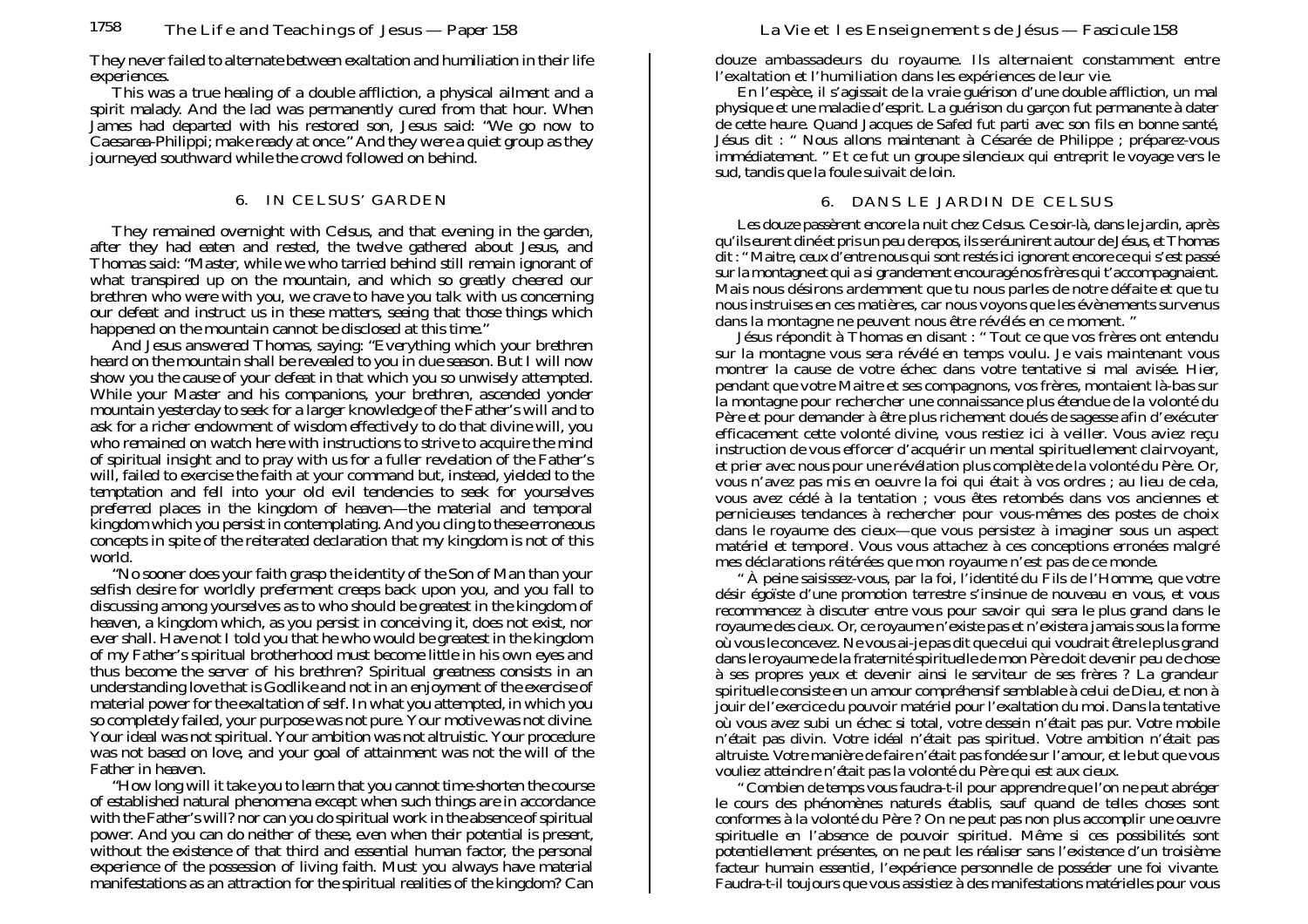They never failed to alternate between exaltation and humiliation in their life experiences.

This was a true healing of a double affliction, a physical ailment and a spirit malady. And the lad was permanently cured from that hour. When James had departed with his restored son, Jesus said: "We go now to Caesarea-Philippi; make ready at once." And they were a quiet group as they journeyed southward while the crowd followed on behind.

## 6. IN CELSUS' GARDEN

They remained overnight with Celsus, and that evening in the garden, after they had eaten and rested, the twelve gathered about Jesus, and Thomas said: "Master, while we who tarried behind still remain ignorant of what transpired up on the mountain, and which so greatly cheered our brethren who were with you, we crave to have you talk with us concerning our defeat and instruct us in these matters, seeing that those things which happened on the mountain cannot be disclosed at this time."

And Jesus answered Thomas, saying: "Everything which your brethren heard on the mountain shall be revealed to you in due season. But I will now show you the cause of your defeat in that which you so unwisely attempted. While your Master and his companions, your brethren, ascended yonder mountain yesterday to seek for a larger knowledge of the Father's will and to ask for a richer endowment of wisdom effectively to do that divine will, you who remained on watch here with instructions to strive to acquire the mind of spiritual insight and to pray with us for a fuller revelation of the Father's will, failed to exercise the faith at your command but, instead, yielded to the temptation and fell into your old evil tendencies to seek for yourselves preferred places in the kingdom of heaven—the material and temporal kingdom which you persist in contemplating. And you cling to these erroneous concepts in spite of the reiterated declaration that my kingdom is not of this world.

"No sooner does your faith grasp the identity of the Son of Man than your selfish desire for worldly preferment creeps back upon you, and you fall to discussing among yourselves as to who should be greatest in the kingdom of heaven, a kingdom which, as you persist in conceiving it, does not exist, nor ever shall. Have not I told you that he who would be greatest in the kingdom of my Father's spiritual brotherhood must become little in his own eyes and thus become the server of his brethren? Spiritual greatness consists in an understanding love that is Godlike and not in an enjoyment of the exercise of material power for the exaltation of self. In what you attempted, in which you so completely failed, your purpose was not pure. Your motive was not divine. Your ideal was not spiritual. Your ambition was not altruistic. Your procedure was not based on love, and your goal of attainment was not the will of the Father in heaven.

"How long will it take you to learn that you cannot time-shorten the course of established natural phenomena except when such things are in accordance with the Father's will? nor can you do spiritual work in the absence of spiritual power. And you can do neither of these, even when their potential is present, without the existence of that third and essential human factor, the personal experience of the possession of living faith. Must you always have material manifestations as an attraction for the spiritual realities of the kingdom? Can

douze ambassadeurs du royaume. Ils alternaient constamment entre l'exaltation et l'humiliation dans les expériences de leur vie.

En l'espèce, il s'agissait de la vraie guérison d'une double affliction, un mal physique et une maladie d'esprit. La guérison du garçon fut permanente à dater de cette heure. Quand Jacques de Safed fut parti avec son fils en bonne santé, Jésus dit : " Nous allons maintenant à Césarée de Philippe ; préparez-vous immédiatement. " Et ce fut un groupe silencieux qui entreprit le voyage vers le sud, tandis que la foule suivait de loin.

#### 6. DANS LE JARDIN DE CELSUS

Les douze passèrent encore la nuit chez Celsus. Ce soir-là, dans le jardin, après qu'ils eurent diné et pris un peu de repos, ils se réunirent autour de Jésus, et Thomas dit : " Maitre, ceux d'entre nous qui sont restés ici ignorent encore ce qui s'est passé sur la montagne et qui a si grandement encouragé nos frères qui t'accompagnaient. Mais nous désirons ardemment que tu nous parles de notre défaite et que tu nous instruises en ces matières, car nous voyons que les évènements survenus dans la montagne ne peuvent nous être révélés en ce moment. "

Jésus répondit à Thomas en disant : " Tout ce que vos frères ont entendu sur la montagne vous sera révélé en temps voulu. Je vais maintenant vous montrer la cause de votre échec dans votre tentative si mal avisée. Hier, pendant que votre Maitre et ses compagnons, vos frères, montaient là-bas sur la montagne pour rechercher une connaissance plus étendue de la volonté du Père et pour demander à être plus richement doués de sagesse afin d'exécuter efficacement cette volonté divine, vous restiez ici à veiller. Vous aviez reçu instruction de vous efforcer d'acquérir un mental spirituellement clairvoyant, et prier avec nous pour une révélation plus complète de la volonté du Père. Or, vous n'avez pas mis en oeuvre la foi qui était à vos ordres ; au lieu de cela, vous avez cédé à la tentation ; vous êtes retombés dans vos anciennes et pernicieuses tendances à rechercher pour vous-mêmes des postes de choix dans le royaume des cieux—que vous persistez à imaginer sous un aspect matériel et temporel. Vous vous attachez à ces conceptions erronées malgré mes déclarations réitérées que mon royaume n'est pas de ce monde.

 À peine saisissez-vous, par la foi, l'identité du Fils de l'Homme, que votre désir égoïste d'une promotion terrestre s'insinue de nouveau en vous, et vous recommencez à discuter entre vous pour savoir qui sera le plus grand dans le royaume des cieux. Or, ce royaume n'existe pas et n'existera jamais sous la forme où vous le concevez. Ne vous ai-je pas dit que celui qui voudrait être le plus grand dans le royaume de la fraternité spirituelle de mon Père doit devenir peu de chose à ses propres yeux et devenir ainsi le serviteur de ses frères ? La grandeur spirituelle consiste en un amour compréhensif semblable à celui de Dieu, et non à jouir de l'exercice du pouvoir matériel pour l'exaltation du moi. Dans la tentative où vous avez subi un échec si total, votre dessein n'était pas pur. Votre mobile <sup>n</sup>'était pas divin. Votre idéal n'était pas spirituel. Votre ambition n'était pas altruiste. Votre manière de faire n'était pas fondée sur l'amour, et le but que vous vouliez atteindre n'était pas la volonté du Père qui est aux cieux.

" Combien de temps vous faudra-t-il pour apprendre que l'on ne peut abréger le cours des phénomènes naturels établis, sauf quand de telles choses sont conformes à la volonté du Père ? On ne peut pas non plus accomplir une oeuvre spirituelle en l'absence de pouvoir spirituel. Même si ces possibilités sont potentiellement présentes, on ne peut les réaliser sans l'existence d'un troisième facteur humain essentiel, l'expérience personnelle de posséder une foi vivante. Faudra-t-il toujours que vous assistiez à des manifestations matérielles pour vous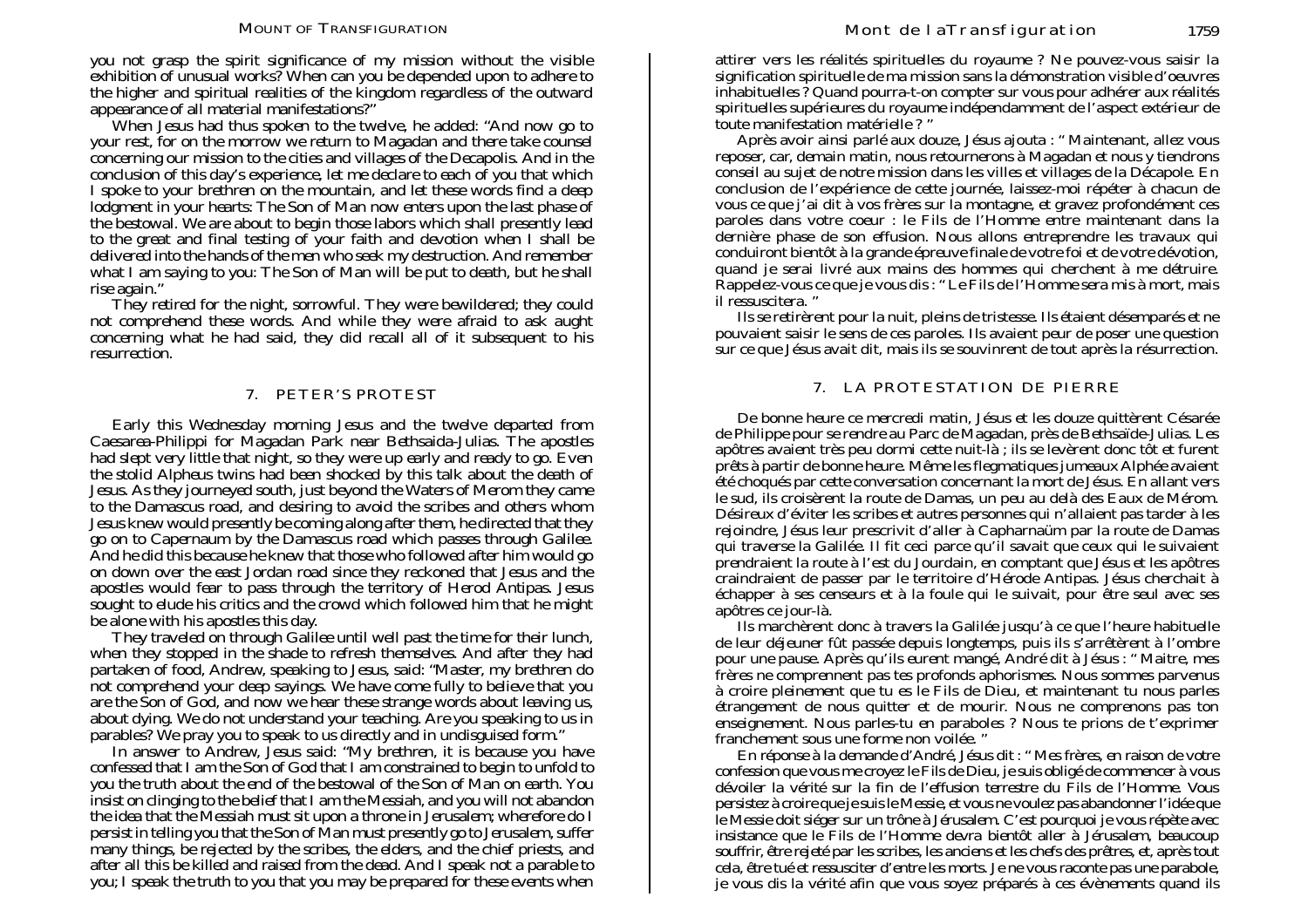## **MOUNT OF TRANSFIGURATION**

you not grasp the spirit significance of my mission without the visible exhibition of unusual works? When can you be depended upon to adhere to the higher and spiritual realities of the kingdom regardless of the outward appearance of all material manifestations?"

When Jesus had thus spoken to the twelve, he added: "And now go to your rest, for on the morrow we return to Magadan and there take counsel concerning our mission to the cities and villages of the Decapolis. And in the conclusion of this day's experience, let me declare to each of you that which I spoke to your brethren on the mountain, and let these words find a deep lodgment in your hearts: The Son of Man now enters upon the last phase of the bestowal. We are about to begin those labors which shall presently lead to the great and final testing of your faith and devotion when I shall be delivered into the hands of the men who seek my destruction. And remember what I am saying to you: The Son of Man will be put to death, but he shall rise again."

They retired for the night, sorrowful. They were bewildered; they could not comprehend these words. And while they were afraid to ask aught concerning what he had said, they did recall all of it subsequent to his resurrection.

#### 7. PETER'S PROTEST

Early this Wednesday morning Jesus and the twelve departed from Caesarea-Philippi for Magadan Park near Bethsaida-Julias. The apostles had slept very little that night, so they were up early and ready to go. Even the stolid Alpheus twins had been shocked by this talk about the death of Jesus. As they journeyed south, just beyond the Waters of Merom they came to the Damascus road, and desiring to avoid the scribes and others whom Jesus knew would presently be coming along after them, he directed that they go on to Capernaum by the Damascus road which passes through Galilee. And he did this because he knew that those who followed after him would go on down over the east Jordan road since they reckoned that Jesus and the apostles would fear to pass through the territory of Herod Antipas. Jesus sought to elude his critics and the crowd which followed him that he might be alone with his apostles this day.

They traveled on through Galilee until well past the time for their lunch, when they stopped in the shade to refresh themselves. And after they had partaken of food, Andrew, speaking to Jesus, said: "Master, my brethren do not comprehend your deep sayings. We have come fully to believe that you are the Son of God, and now we hear these strange words about leaving us, about dying. We do not understand your teaching. Are you speaking to us in parables? We pray you to speak to us directly and in undisguised form."

In answer to Andrew, Jesus said: "My brethren, it is because you have confessed that I am the Son of God that I am constrained to begin to unfold to you the truth about the end of the bestowal of the Son of Man on earth. You insist on clinging to the belief that I am the Messiah, and you will not abandon the idea that the Messiah must sit upon a throne in Jerusalem; wherefore do I persist in telling you that the Son of Man must presently go to Jerusalem, suffer many things, be rejected by the scribes, the elders, and the chief priests, and after all this be killed and raised from the dead. And I speak not a parable to you; I speak the truth to you that you may be prepared for these events when

attirer vers les réalités spirituelles du royaume ? Ne pouvez-vous saisir la signification spirituelle de ma mission sans la démonstration visible d'oeuvres inhabituelles ? Quand pourra-t-on compter sur vous pour adhérer aux réalités spirituelles supérieures du royaume indépendamment de l'aspect extérieur de toute manifestation matérielle ? "

Après avoir ainsi parlé aux douze, Jésus ajouta : " Maintenant, allez vous reposer, car, demain matin, nous retournerons à Magadan et nous y tiendrons conseil au sujet de notre mission dans les villes et villages de la Décapole. En conclusion de l'expérience de cette journée, laissez-moi répéter à chacun de vous ce que j'ai dit à vos frères sur la montagne, et gravez profondément ces paroles dans votre coeur : le Fils de l'Homme entre maintenant dans la dernière phase de son effusion. Nous allons entreprendre les travaux qui conduiront bientôt à la grande épreuve finale de votre foi et de votre dévotion, quand je serai livré aux mains des hommes qui cherchent à me détruire. Rappelez-vous ce que je vous dis : " Le Fils de l'Homme sera mis à mort, mais il ressuscitera.

Ils se retirèrent pour la nuit, pleins de tristesse. Ils étaient désemparés et ne pouvaient saisir le sens de ces paroles. Ils avaient peur de poser une question sur ce que Jésus avait dit, mais ils se souvinrent de tout après la résurrection.

## 7. LA PROTESTATION DE PIERRE

De bonne heure ce mercredi matin, Jésus et les douze quittèrent Césarée de Philippe pour se rendre au Parc de Magadan, près de Bethsaïde-Julias. Les apôtres avaient très peu dormi cette nuit-là ; ils se levèrent donc tôt et furent prêts à partir de bonne heure. Même les flegmatiques jumeaux Alphée avaient été choqués par cette conversation concernant la mort de Jésus. En allant vers le sud, ils croisèrent la route de Damas, un peu au delà des Eaux de Mérom. Désireux d'éviter les scribes et autres personnes qui n'allaient pas tarder à les rejoindre, Jésus leur prescrivit d'aller à Capharnaüm par la route de Damas qui traverse la Galilée. Il fit ceci parce qu'il savait que ceux qui le suivaient prendraient la route à l'est du Jourdain, en comptant que Jésus et les apôtres craindraient de passer par le territoire d'Hérode Antipas. Jésus cherchait à échapper à ses censeurs et à la foule qui le suivait, pour être seul avec ses apôtres ce jour-là.

Ils marchèrent donc à travers la Galilée jusqu'à ce que l'heure habituelle de leur déjeuner fût passée depuis longtemps, puis ils s'arrêtèrent à l'ombre pour une pause. Après qu'ils eurent mangé, André dit à Jésus : " Maitre, mes frères ne comprennent pas tes profonds aphorismes. Nous sommes parvenus à croire pleinement que tu es le Fils de Dieu, et maintenant tu nous parles étrangement de nous quitter et de mourir. Nous ne comprenons pas ton enseignement. Nous parles-tu en paraboles ? Nous te prions de t'exprimer franchement sous une forme non voilée. "

En réponse à la demande d'André, Jésus dit : " Mes frères, en raison de votre confession que vous me croyez le Fils de Dieu, je suis obligé de commencer à vous dévoiler la vérité sur la fin de l'effusion terrestre du Fils de l'Homme. Vous persistez à croire que je suis le Messie, et vous ne voulez pas abandonner l'idée que le Messie doit siéger sur un trône à Jérusalem. C'est pourquoi je vous répète avec insistance que le Fils de l'Homme devra bientôt aller à Jérusalem, beaucoup souffrir, être rejeté par les scribes, les anciens et les chefs des prêtres, et, après tout cela, être tué et ressusciter d'entre les morts. Je ne vous raconte pas une parabole, je vous dis la vérité afin que vous soyez préparés à ces évènements quand ils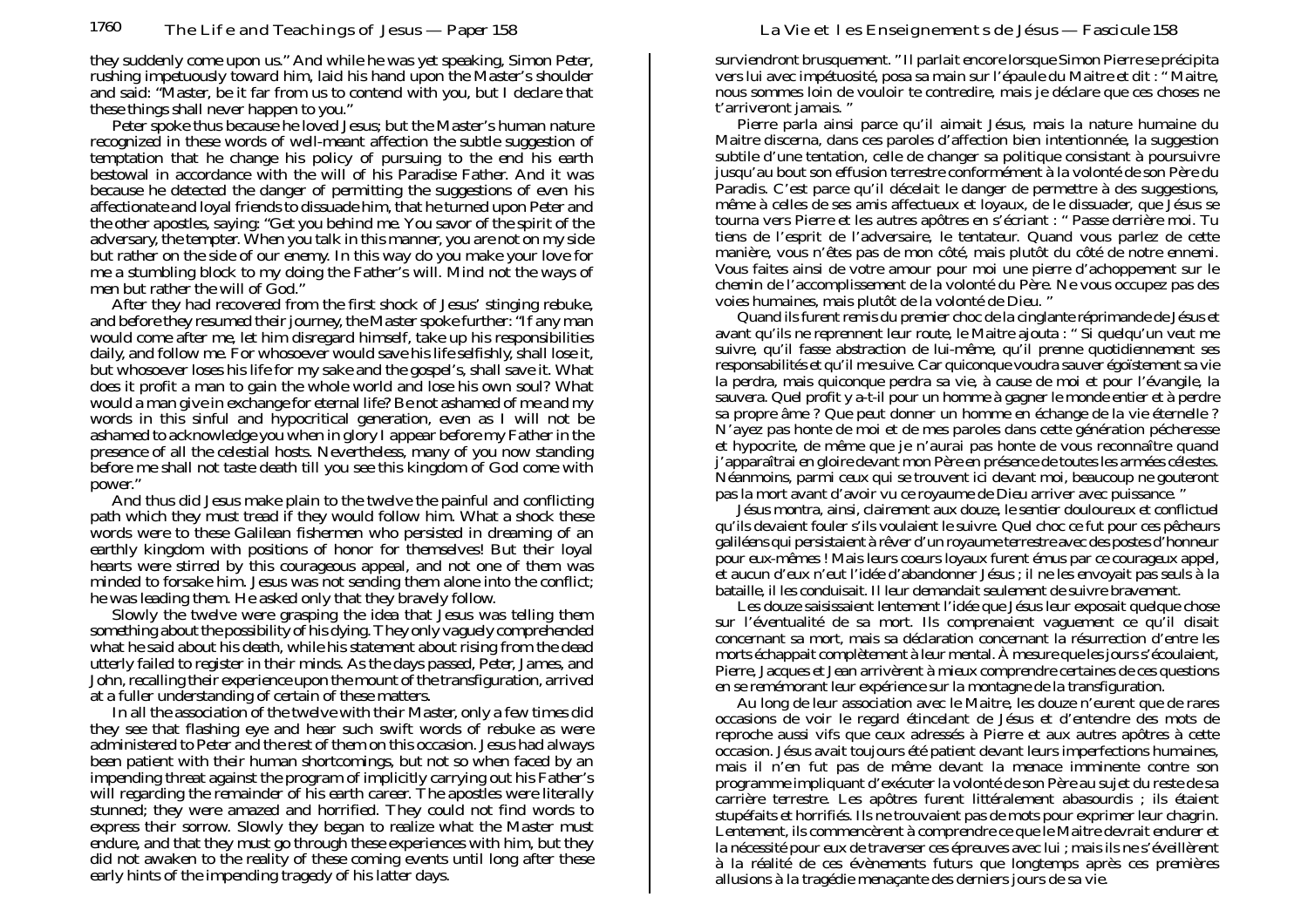they suddenly come upon us." And while he was yet speaking, Simon Peter, rushing impetuously toward him, laid his hand upon the Master's shoulder and said: "Master, be it far from us to contend with you, but I declare that these things shall never happen to you."

Peter spoke thus because he loved Jesus; but the Master's human nature recognized in these words of well-meant affection the subtle suggestion of temptation that he change his policy of pursuing to the end his earth bestowal in accordance with the will of his Paradise Father. And it was because he detected the danger of permitting the suggestions of even his affectionate and loyal friends to dissuade him, that he turned upon Peter and the other apostles, saying: "Get you behind me. You savor of the spirit of the adversary, the tempter. When you talk in this manner, you are not on my side but rather on the side of our enemy. In this way do you make your love for me a stumbling block to my doing the Father's will. Mind not the ways of men but rather the will of God."

After they had recovered from the first shock of Jesus' stinging rebuke, and before they resumed their journey, the Master spoke further: "If any man would come after me, let him disregard himself, take up his responsibilities daily, and follow me. For whosoever would save his life selfishly, shall lose it, but whosoever loses his life for my sake and the gospel's, shall save it. What does it profit a man to gain the whole world and lose his own soul? What would a man give in exchange for eternal life? Be not ashamed of me and my words in this sinful and hypocritical generation, even as I will not be ashamed to acknowledge you when in glory I appear before my Father in the presence of all the celestial hosts. Nevertheless, many of you now standing before me shall not taste death till you see this kingdom of God come with power."

And thus did Jesus make plain to the twelve the painful and conflicting path which they must tread if they would follow him. What a shock these words were to these Galilean fishermen who persisted in dreaming of an earthly kingdom with positions of honor for themselves! But their loyal hearts were stirred by this courageous appeal, and not one of them was minded to forsake him. Jesus was not sending them alone into the conflict; he was leading them. He asked only that they bravely follow.

Slowly the twelve were grasping the idea that Jesus was telling them something about the possibility of his dying. They only vaguely comprehended what he said about his death, while his statement about rising from the dead utterly failed to register in their minds. As the days passed, Peter, James, and John, recalling their experience upon the mount of the transfiguration, arrived at a fuller understanding of certain of these matters.

In all the association of the twelve with their Master, only a few times did they see that flashing eye and hear such swift words of rebuke as were administered to Peter and the rest of them on this occasion. Jesus had always been patient with their human shortcomings, but not so when faced by an impending threat against the program of implicitly carrying out his Father's will regarding the remainder of his earth career. The apostles were literally stunned; they were amazed and horrified. They could not find words to express their sorrow. Slowly they began to realize what the Master must endure, and that they must go through these experiences with him, but they did not awaken to the reality of these coming events until long after these early hints of the impending tragedy of his latter days.

surviendront brusquement. " Il parlait encore lorsque Simon Pierre se précipita vers lui avec impétuosité, posa sa main sur l'épaule du Maitre et dit : " Maitre, nous sommes loin de vouloir te contredire, mais je déclare que ces choses ne t'arriveront jamais.'

Pierre parla ainsi parce qu'il aimait Jésus, mais la nature humaine du Maitre discerna, dans ces paroles d'affection bien intentionnée, la suggestion subtile d'une tentation, celle de changer sa politique consistant à poursuivre jusqu'au bout son effusion terrestre conformément à la volonté de son Père du Paradis. C'est parce qu'il décelait le danger de permettre à des suggestions, même à celles de ses amis affectueux et loyaux, de le dissuader, que Jésus se tourna vers Pierre et les autres apôtres en s'écriant : " Passe derrière moi. Tu tiens de l'esprit de l'adversaire, le tentateur. Quand vous parlez de cette manière, vous n'êtes pas de mon côté, mais plutôt du côté de notre ennemi. Vous faites ainsi de votre amour pour moi une pierre d'achoppement sur le chemin de l'accomplissement de la volonté du Père. Ne vous occupez pas des voies humaines, mais plutôt de la volonté de Dieu. "

Quand ils furent remis du premier choc de la cinglante réprimande de Jésus et avant qu'ils ne reprennent leur route, le Maitre ajouta : " Si quelqu'un veut me suivre, qu'il fasse abstraction de lui-même, qu'il prenne quotidiennement ses responsabilités et qu'il me suive. Car quiconque voudra sauver égoïstement sa vie la perdra, mais quiconque perdra sa vie, à cause de moi et pour l'évangile, la sauvera. Quel profit y a-t-il pour un homme à gagner le monde entier et à perdre sa propre âme ? Que peut donner un homme en échange de la vie éternelle ? N'ayez pas honte de moi et de mes paroles dans cette génération pécheresse et hypocrite, de même que je n'aurai pas honte de vous reconnaître quand j'apparaîtrai en gloire devant mon Père en présence de toutes les armées célestes. Néanmoins, parmi ceux qui se trouvent ici devant moi, beaucoup ne gouteront pas la mort avant d'avoir vu ce royaume de Dieu arriver avec puissance. "

Jésus montra, ainsi, clairement aux douze, le sentier douloureux et conflictuel qu'ils devaient fouler s'ils voulaient le suivre. Quel choc ce fut pour ces pêcheurs galiléens qui persistaient à rêver d'un royaume terrestre avec des postes d'honneur pour eux-mêmes ! Mais leurs coeurs loyaux furent émus par ce courageux appel, et aucun d'eux n'eut l'idée d'abandonner Jésus ; il ne les envoyait pas seuls à la bataille, il les conduisait. Il leur demandait seulement de suivre bravement.

Les douze saisissaient lentement l'idée que Jésus leur exposait quelque chose sur l'éventualité de sa mort. Ils comprenaient vaguement ce qu'il disait concernant sa mort, mais sa déclaration concernant la résurrection d'entre les morts échappait complètement à leur mental. À mesure que les jours s'écoulaient, Pierre, Jacques et Jean arrivèrent à mieux comprendre certaines de ces questions en se remémorant leur expérience sur la montagne de la transfiguration.

Au long de leur association avec le Maitre, les douze n'eurent que de rares occasions de voir le regard étincelant de Jésus et d'entendre des mots de reproche aussi vifs que ceux adressés à Pierre et aux autres apôtres à cette occasion. Jésus avait toujours été patient devant leurs imperfections humaines, mais il n'en fut pas de même devant la menace imminente contre son programme impliquant d'exécuter la volonté de son Père au sujet du reste de sa carrière terrestre. Les apôtres furent littéralement abasourdis ; ils étaient stupéfaits et horrifiés. Ils ne trouvaient pas de mots pour exprimer leur chagrin. Lentement, ils commencèrent à comprendre ce que le Maitre devrait endurer et la nécessité pour eux de traverser ces épreuves avec lui ; mais ils ne s'éveillèrent à la réalité de ces évènements futurs que longtemps après ces premières allusions à la tragédie menaçante des derniers jours de sa vie.